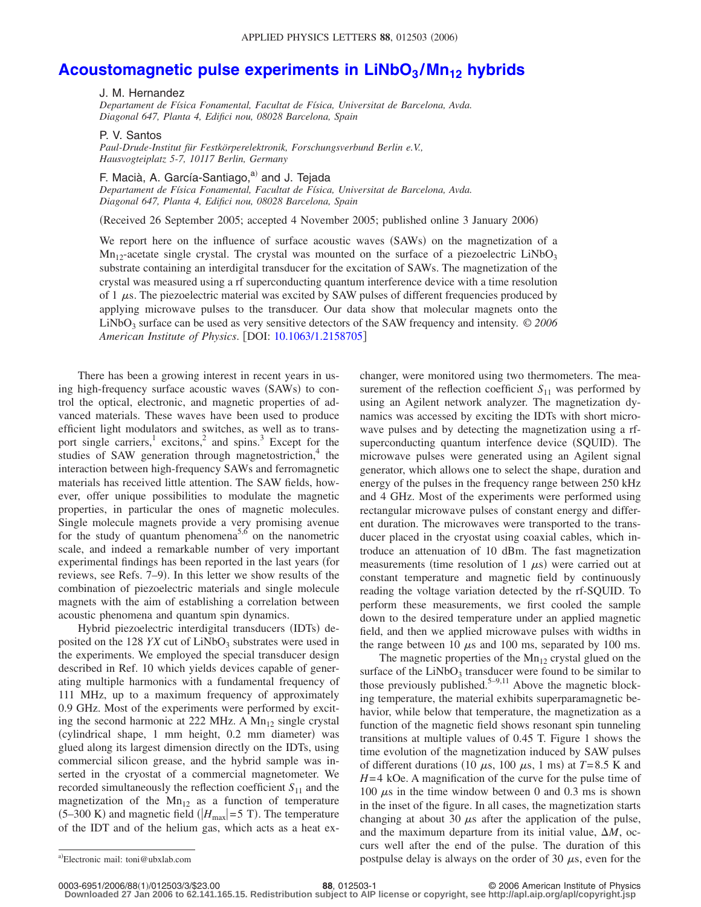## Acoustomagnetic pulse experiments in LiNbO<sub>3</sub>/Mn<sub>12</sub> hybrids

## J. M. Hernandez

*Departament de Física Fonamental, Facultat de Física, Universitat de Barcelona, Avda. Diagonal 647, Planta 4, Edifici nou, 08028 Barcelona, Spain*

P. V. Santos

*Paul-Drude-Institut für Festkörperelektronik, Forschungsverbund Berlin e.V., Hausvogteiplatz 5-7, 10117 Berlin, Germany*

F. Macià, A. García-Santiago,<sup>a)</sup> and J. Tejada

*Departament de Física Fonamental, Facultat de Física, Universitat de Barcelona, Avda. Diagonal 647, Planta 4, Edifici nou, 08028 Barcelona, Spain*

Received 26 September 2005; accepted 4 November 2005; published online 3 January 2006-

We report here on the influence of surface acoustic waves (SAWs) on the magnetization of a  $Mn<sub>12</sub>$ -acetate single crystal. The crystal was mounted on the surface of a piezoelectric LiNbO<sub>3</sub> substrate containing an interdigital transducer for the excitation of SAWs. The magnetization of the crystal was measured using a rf superconducting quantum interference device with a time resolution of 1  $\mu$ s. The piezoelectric material was excited by SAW pulses of different frequencies produced by applying microwave pulses to the transducer. Our data show that molecular magnets onto the LiNbO<sub>3</sub> surface can be used as very sensitive detectors of the SAW frequency and intensity. © 2006 *American Institute of Physics*. DOI: [10.1063/1.2158705](http://dx.doi.org/10.1063/1.2158705)

There has been a growing interest in recent years in using high-frequency surface acoustic waves (SAWs) to control the optical, electronic, and magnetic properties of advanced materials. These waves have been used to produce efficient light modulators and switches, as well as to transport single carriers,<sup>1</sup> excitons,<sup>2</sup> and spins.<sup>3</sup> Except for the studies of SAW generation through magnetostriction, $4$  the interaction between high-frequency SAWs and ferromagnetic materials has received little attention. The SAW fields, however, offer unique possibilities to modulate the magnetic properties, in particular the ones of magnetic molecules. Single molecule magnets provide a very promising avenue for the study of quantum phenomena<sup>5,6</sup> on the nanometric scale, and indeed a remarkable number of very important experimental findings has been reported in the last years (for reviews, see Refs. 7–9). In this letter we show results of the combination of piezoelectric materials and single molecule magnets with the aim of establishing a correlation between acoustic phenomena and quantum spin dynamics.

Hybrid piezoelectric interdigital transducers (IDTs) deposited on the 128  $YX$  cut of  $LiNbO<sub>3</sub>$  substrates were used in the experiments. We employed the special transducer design described in Ref. 10 which yields devices capable of generating multiple harmonics with a fundamental frequency of 111 MHz, up to a maximum frequency of approximately 0.9 GHz. Most of the experiments were performed by exciting the second harmonic at 222 MHz. A  $Mn_{12}$  single crystal (cylindrical shape, 1 mm height, 0.2 mm diameter) was glued along its largest dimension directly on the IDTs, using commercial silicon grease, and the hybrid sample was inserted in the cryostat of a commercial magnetometer. We recorded simultaneously the reflection coefficient  $S_{11}$  and the magnetization of the  $Mn_{12}$  as a function of temperature  $(5-300 \text{ K})$  and magnetic field  $(|H_{\text{max}}|=5 \text{ T})$ . The temperature of the IDT and of the helium gas, which acts as a heat ex-

changer, were monitored using two thermometers. The measurement of the reflection coefficient  $S_{11}$  was performed by using an Agilent network analyzer. The magnetization dynamics was accessed by exciting the IDTs with short microwave pulses and by detecting the magnetization using a rfsuperconducting quantum interfence device (SQUID). The microwave pulses were generated using an Agilent signal generator, which allows one to select the shape, duration and energy of the pulses in the frequency range between 250 kHz and 4 GHz. Most of the experiments were performed using rectangular microwave pulses of constant energy and different duration. The microwaves were transported to the transducer placed in the cryostat using coaxial cables, which introduce an attenuation of 10 dBm. The fast magnetization measurements (time resolution of 1  $\mu$ s) were carried out at constant temperature and magnetic field by continuously reading the voltage variation detected by the rf-SQUID. To perform these measurements, we first cooled the sample down to the desired temperature under an applied magnetic field, and then we applied microwave pulses with widths in the range between 10  $\mu$ s and 100 ms, separated by 100 ms.

The magnetic properties of the  $Mn_{12}$  crystal glued on the surface of the  $LiNbO<sub>3</sub>$  transducer were found to be similar to those previously published.<sup>5–9,11</sup> Above the magnetic blocking temperature, the material exhibits superparamagnetic behavior, while below that temperature, the magnetization as a function of the magnetic field shows resonant spin tunneling transitions at multiple values of 0.45 T. Figure 1 shows the time evolution of the magnetization induced by SAW pulses of different durations (10  $\mu$ s, 100  $\mu$ s, 1 ms) at *T*=8.5 K and *H*=4 kOe. A magnification of the curve for the pulse time of 100  $\mu$ s in the time window between 0 and 0.3 ms is shown in the inset of the figure. In all cases, the magnetization starts changing at about 30  $\mu$ s after the application of the pulse, and the maximum departure from its initial value,  $\Delta M$ , occurs well after the end of the pulse. The duration of this postpulse delay is always on the order of 30  $\mu$ s, even for the

Electronic mail: toni@ubxlab.com

<sup>188, 012503-1</sup> **88.**  $\bullet$  2006 American Institute of Physics

**Downloaded 27 Jan 2006 to 62.141.165.15. Redistribution subject to AIP license or copyright, see http://apl.aip.org/apl/copyright.jsp**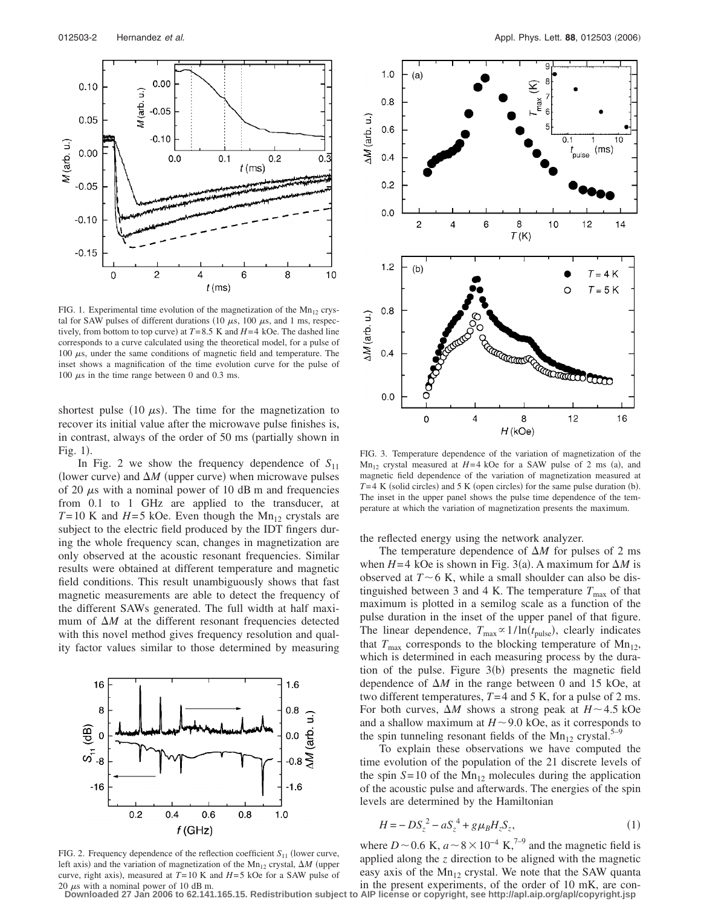

FIG. 1. Experimental time evolution of the magnetization of the  $Mn_{12}$  crystal for SAW pulses of different durations (10  $\mu$ s, 100  $\mu$ s, and 1 ms, respectively, from bottom to top curve) at  $T = 8.5$  K and  $H = 4$  kOe. The dashed line corresponds to a curve calculated using the theoretical model, for a pulse of 100  $\mu$ s, under the same conditions of magnetic field and temperature. The inset shows a magnification of the time evolution curve for the pulse of 100  $\mu$ s in the time range between 0 and 0.3 ms.

shortest pulse (10  $\mu$ s). The time for the magnetization to recover its initial value after the microwave pulse finishes is, in contrast, always of the order of 50 ms (partially shown in Fig. 1).

In Fig. 2 we show the frequency dependence of  $S_{11}$ (lower curve) and  $\Delta M$  (upper curve) when microwave pulses of 20  $\mu$ s with a nominal power of 10 dB m and frequencies from 0.1 to 1 GHz are applied to the transducer, at  $T=10$  K and  $H=5$  kOe. Even though the Mn<sub>12</sub> crystals are subject to the electric field produced by the IDT fingers during the whole frequency scan, changes in magnetization are only observed at the acoustic resonant frequencies. Similar results were obtained at different temperature and magnetic field conditions. This result unambiguously shows that fast magnetic measurements are able to detect the frequency of the different SAWs generated. The full width at half maximum of  $\Delta M$  at the different resonant frequencies detected with this novel method gives frequency resolution and quality factor values similar to those determined by measuring



FIG. 2. Frequency dependence of the reflection coefficient  $S_{11}$  (lower curve, left axis) and the variation of magnetization of the  $Mn_{12}$  crystal,  $\Delta M$  (upper curve, right axis), measured at  $T = 10$  K and  $H = 5$  kOe for a SAW pulse of 20  $\mu$ s with a nominal power of 10 dB m.



FIG. 3. Temperature dependence of the variation of magnetization of the  $Mn<sub>12</sub>$  crystal measured at  $H=4$  kOe for a SAW pulse of 2 ms (a), and magnetic field dependence of the variation of magnetization measured at  $T=4$  K (solid circles) and 5 K (open circles) for the same pulse duration (b). The inset in the upper panel shows the pulse time dependence of the temperature at which the variation of magnetization presents the maximum.

the reflected energy using the network analyzer.

The temperature dependence of  $\Delta M$  for pulses of 2 ms when  $H=4$  kOe is shown in Fig. 3(a). A maximum for  $\Delta M$  is observed at  $T \sim 6$  K, while a small shoulder can also be distinguished between 3 and 4 K. The temperature  $T_{\text{max}}$  of that maximum is plotted in a semilog scale as a function of the pulse duration in the inset of the upper panel of that figure. The linear dependence,  $T_{\text{max}} \propto 1/\ln(t_{\text{pulse}})$ , clearly indicates that  $T_{\text{max}}$  corresponds to the blocking temperature of  $\text{Mn}_{12}$ , which is determined in each measuring process by the duration of the pulse. Figure  $3(b)$  presents the magnetic field dependence of  $\Delta M$  in the range between 0 and 15 kOe, at two different temperatures,  $T=4$  and 5 K, for a pulse of 2 ms. For both curves,  $\Delta M$  shows a strong peak at  $H \sim 4.5$  kOe and a shallow maximum at  $H \sim 9.0$  kOe, as it corresponds to the spin tunneling resonant fields of the  $Mn_{12}$  crystal.<sup>5–9</sup>

To explain these observations we have computed the time evolution of the population of the 21 discrete levels of the spin  $S = 10$  of the Mn<sub>12</sub> molecules during the application of the acoustic pulse and afterwards. The energies of the spin levels are determined by the Hamiltonian

$$
H = -DS_z^2 - aS_z^4 + g\mu_B H_z S_z, \tag{1}
$$

where *D* ~ 0.6 K,  $a \sim 8 \times 10^{-4}$  K,<sup>7–9</sup> and the magnetic field is applied along the *z* direction to be aligned with the magnetic easy axis of the  $Mn_{12}$  crystal. We note that the SAW quanta in the present experiments, of the order of 10 mK, are con-

**Downloaded 27 Jan 2006 to 62.141.165.15. Redistribution subject to AIP license or copyright, see http://apl.aip.org/apl/copyright.jsp**